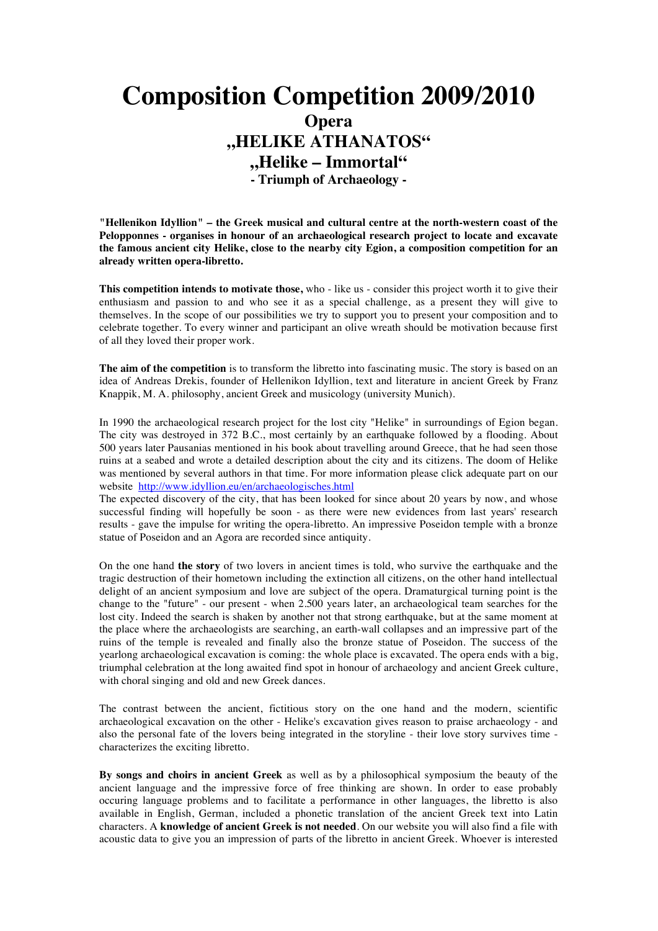## **Composition Competition 2009/2010 Opera "HELIKE ATHANATOS" "Helike – Immortal" - Triumph of Archaeology -**

**"Hellenikon Idyllion" – the Greek musical and cultural centre at the north-western coast of the Pelopponnes - organises in honour of an archaeological research project to locate and excavate the famous ancient city Helike, close to the nearby city Egion, a composition competition for an already written opera-libretto.**

**This competition intends to motivate those,** who - like us - consider this project worth it to give their enthusiasm and passion to and who see it as a special challenge, as a present they will give to themselves. In the scope of our possibilities we try to support you to present your composition and to celebrate together. To every winner and participant an olive wreath should be motivation because first of all they loved their proper work.

**The aim of the competition** is to transform the libretto into fascinating music. The story is based on an idea of Andreas Drekis, founder of Hellenikon Idyllion, text and literature in ancient Greek by Franz Knappik, M. A. philosophy, ancient Greek and musicology (university Munich).

In 1990 the archaeological research project for the lost city "Helike" in surroundings of Egion began. The city was destroyed in 372 B.C., most certainly by an earthquake followed by a flooding. About 500 years later Pausanias mentioned in his book about travelling around Greece, that he had seen those ruins at a seabed and wrote a detailed description about the city and its citizens. The doom of Helike was mentioned by several authors in that time. For more information please click adequate part on our website http://www.idyllion.eu/en/archaeologisches.html

The expected discovery of the city, that has been looked for since about 20 years by now, and whose successful finding will hopefully be soon - as there were new evidences from last years' research results - gave the impulse for writing the opera-libretto. An impressive Poseidon temple with a bronze statue of Poseidon and an Agora are recorded since antiquity.

On the one hand **the story** of two lovers in ancient times is told, who survive the earthquake and the tragic destruction of their hometown including the extinction all citizens, on the other hand intellectual delight of an ancient symposium and love are subject of the opera. Dramaturgical turning point is the change to the "future" - our present - when 2.500 years later, an archaeological team searches for the lost city. Indeed the search is shaken by another not that strong earthquake, but at the same moment at the place where the archaeologists are searching, an earth-wall collapses and an impressive part of the ruins of the temple is revealed and finally also the bronze statue of Poseidon. The success of the yearlong archaeological excavation is coming: the whole place is excavated. The opera ends with a big, triumphal celebration at the long awaited find spot in honour of archaeology and ancient Greek culture, with choral singing and old and new Greek dances.

The contrast between the ancient, fictitious story on the one hand and the modern, scientific archaeological excavation on the other - Helike's excavation gives reason to praise archaeology - and also the personal fate of the lovers being integrated in the storyline - their love story survives time characterizes the exciting libretto.

**By songs and choirs in ancient Greek** as well as by a philosophical symposium the beauty of the ancient language and the impressive force of free thinking are shown. In order to ease probably occuring language problems and to facilitate a performance in other languages, the libretto is also available in English, German, included a phonetic translation of the ancient Greek text into Latin characters. A **knowledge of ancient Greek is not needed**. On our website you will also find a file with acoustic data to give you an impression of parts of the libretto in ancient Greek. Whoever is interested